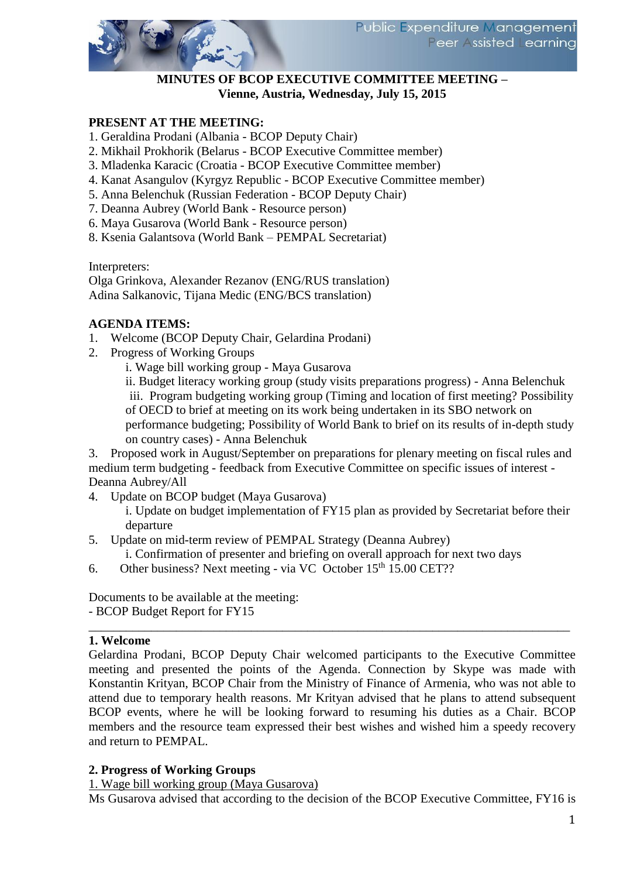### **MINUTES OF BCOP EXECUTIVE COMMITTEE MEETING – Vienne, Austria, Wednesday, July 15, 2015**

## **PRESENT AT THE MEETING:**

- 1. Geraldina Prodani (Albania BCOP Deputy Chair)
- 2. Mikhail Prokhorik (Belarus BCOP Executive Committee member)
- 3. Mladenka Karacic (Croatia BCOP Executive Committee member)
- 4. Kanat Asangulov (Kyrgyz Republic BCOP Executive Committee member)
- 5. Anna Belenchuk (Russian Federation BCOP Deputy Chair)
- 7. Deanna Aubrey (World Bank Resource person)
- 6. Maya Gusarova (World Bank Resource person)
- 8. Ksenia Galantsova (World Bank PEMPAL Secretariat)

Interpreters:

Olga Grinkova, Alexander Rezanov (ENG/RUS translation) Adina Salkanovic, Tijana Medic (ENG/BCS translation)

### **AGENDA ITEMS:**

- 1. Welcome (BCOP Deputy Chair, Gelardina Prodani)
- 2. Progress of Working Groups
	- i. Wage bill working group Maya Gusarova

ii. Budget literacy working group (study visits preparations progress) - Anna Belenchuk iii. Program budgeting working group (Timing and location of first meeting? Possibility of OECD to brief at meeting on its work being undertaken in its SBO network on performance budgeting; Possibility of World Bank to brief on its results of in-depth study on country cases) - Anna Belenchuk

3. Proposed work in August/September on preparations for plenary meeting on fiscal rules and medium term budgeting - feedback from Executive Committee on specific issues of interest - Deanna Aubrey/All

- 4. Update on BCOP budget (Maya Gusarova)
	- i. Update on budget implementation of FY15 plan as provided by Secretariat before their departure
- 5. Update on mid-term review of PEMPAL Strategy (Deanna Aubrey)

i. Confirmation of presenter and briefing on overall approach for next two days

6. Other business? Next meeting - via VC [October 15](x-apple-data-detectors://10/)<sup>th</sup> 15.00 CET??

Documents to be available at the meeting:

- BCOP Budget Report for FY15 \_\_\_\_\_\_\_\_\_\_\_\_\_\_\_\_\_\_\_\_\_\_\_\_\_\_\_\_\_\_\_\_\_\_\_\_\_\_\_\_\_\_\_\_\_\_\_\_\_\_\_\_\_\_\_\_\_\_\_\_\_\_\_\_\_\_\_\_\_\_\_\_\_\_\_\_\_

#### **1. Welcome**

Gelardina Prodani, BCOP Deputy Chair welcomed participants to the Executive Committee meeting and presented the points of the Agenda. Connection by Skype was made with Konstantin Krityan, BCOP Chair from the Ministry of Finance of Armenia, who was not able to attend due to temporary health reasons. Mr Krityan advised that he plans to attend subsequent BCOP events, where he will be looking forward to resuming his duties as a Chair. BCOP members and the resource team expressed their best wishes and wished him a speedy recovery and return to PEMPAL.

## **2. Progress of Working Groups**

1. Wage bill working group (Maya Gusarova)

Ms Gusarova advised that according to the decision of the BCOP Executive Committee, FY16 is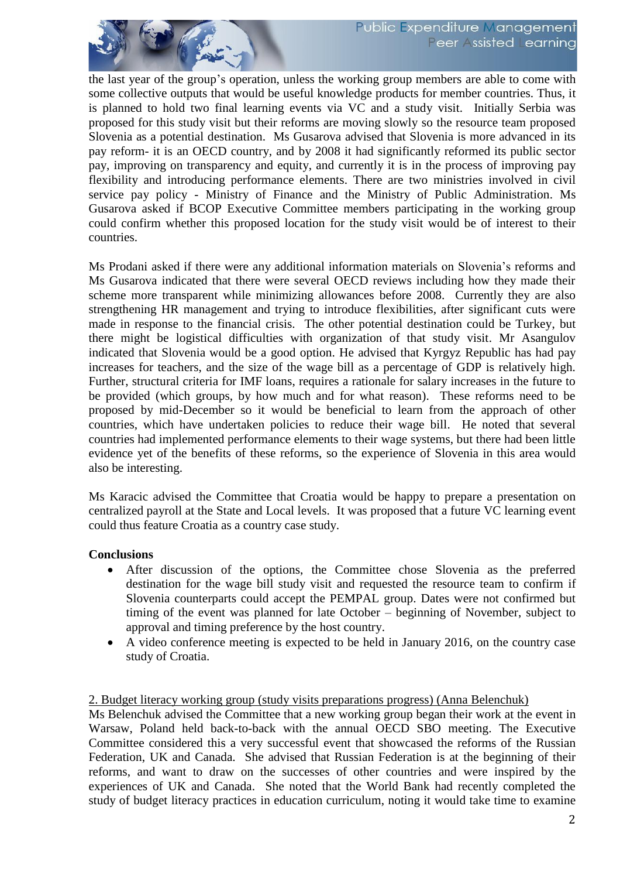

the last year of the group's operation, unless the working group members are able to come with some collective outputs that would be useful knowledge products for member countries. Thus, it is planned to hold two final learning events via VC and a study visit. Initially Serbia was proposed for this study visit but their reforms are moving slowly so the resource team proposed Slovenia as a potential destination. Ms Gusarova advised that Slovenia is more advanced in its pay reform- it is an OECD country, and by 2008 it had significantly reformed its public sector pay, improving on transparency and equity, and currently it is in the process of improving pay flexibility and introducing performance elements. There are two ministries involved in civil service pay policy - Ministry of Finance and the Ministry of Public Administration. Ms Gusarova asked if BCOP Executive Committee members participating in the working group could confirm whether this proposed location for the study visit would be of interest to their countries.

Ms Prodani asked if there were any additional information materials on Slovenia's reforms and Ms Gusarova indicated that there were several OECD reviews including how they made their scheme more transparent while minimizing allowances before 2008. Currently they are also strengthening HR management and trying to introduce flexibilities, after significant cuts were made in response to the financial crisis. The other potential destination could be Turkey, but there might be logistical difficulties with organization of that study visit. Mr Asangulov indicated that Slovenia would be a good option. He advised that Kyrgyz Republic has had pay increases for teachers, and the size of the wage bill as a percentage of GDP is relatively high. Further, structural criteria for IMF loans, requires a rationale for salary increases in the future to be provided (which groups, by how much and for what reason). These reforms need to be proposed by mid-December so it would be beneficial to learn from the approach of other countries, which have undertaken policies to reduce their wage bill. He noted that several countries had implemented performance elements to their wage systems, but there had been little evidence yet of the benefits of these reforms, so the experience of Slovenia in this area would also be interesting.

Ms Karacic advised the Committee that Croatia would be happy to prepare a presentation on centralized payroll at the State and Local levels. It was proposed that a future VC learning event could thus feature Croatia as a country case study.

#### **Conclusions**

- After discussion of the options, the Committee chose Slovenia as the preferred destination for the wage bill study visit and requested the resource team to confirm if Slovenia counterparts could accept the PEMPAL group. Dates were not confirmed but timing of the event was planned for late October – beginning of November, subject to approval and timing preference by the host country.
- A video conference meeting is expected to be held in January 2016, on the country case study of Croatia.

### 2. Budget literacy working group (study visits preparations progress) (Anna Belenchuk)

Ms Belenchuk advised the Committee that a new working group began their work at the event in Warsaw, Poland held back-to-back with the annual OECD SBO meeting. The Executive Committee considered this a very successful event that showcased the reforms of the Russian Federation, UK and Canada. She advised that Russian Federation is at the beginning of their reforms, and want to draw on the successes of other countries and were inspired by the experiences of UK and Canada. She noted that the World Bank had recently completed the study of budget literacy practices in education curriculum, noting it would take time to examine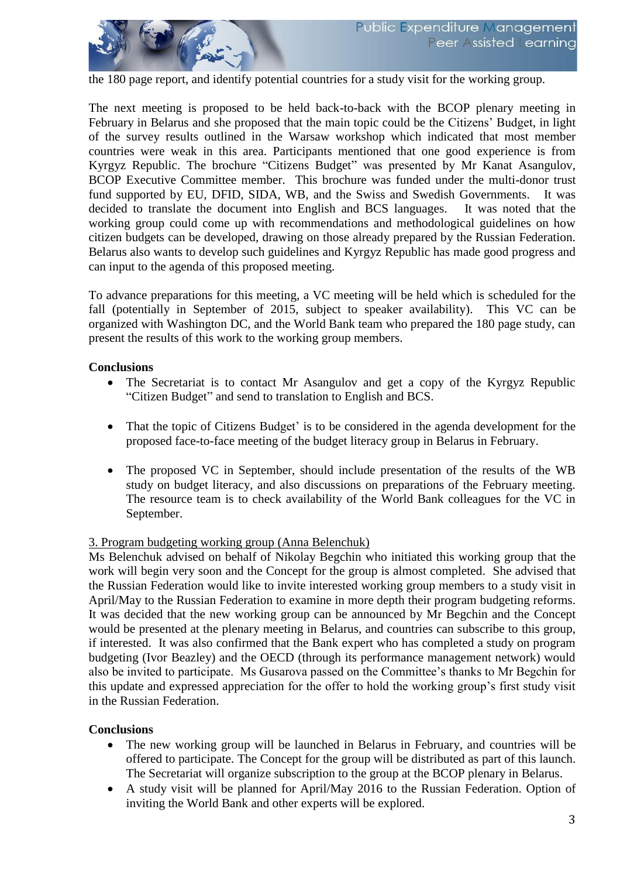the 180 page report, and identify potential countries for a study visit for the working group.

The next meeting is proposed to be held back-to-back with the BCOP plenary meeting in February in Belarus and she proposed that the main topic could be the Citizens' Budget, in light of the survey results outlined in the Warsaw workshop which indicated that most member countries were weak in this area. Participants mentioned that one good experience is from Kyrgyz Republic. The brochure "Citizens Budget" was presented by Mr Kanat Asangulov, BCOP Executive Committee member. This brochure was funded under the multi-donor trust fund supported by EU, DFID, SIDA, WB, and the Swiss and Swedish Governments. It was decided to translate the document into English and BCS languages. It was noted that the working group could come up with recommendations and methodological guidelines on how citizen budgets can be developed, drawing on those already prepared by the Russian Federation. Belarus also wants to develop such guidelines and Kyrgyz Republic has made good progress and can input to the agenda of this proposed meeting.

To advance preparations for this meeting, a VC meeting will be held which is scheduled for the fall (potentially in September of 2015, subject to speaker availability). This VC can be organized with Washington DC, and the World Bank team who prepared the 180 page study, can present the results of this work to the working group members.

#### **Conclusions**

- The Secretariat is to contact Mr Asangulov and get a copy of the Kyrgyz Republic "Citizen Budget" and send to translation to English and BCS.
- That the topic of Citizens Budget' is to be considered in the agenda development for the proposed face-to-face meeting of the budget literacy group in Belarus in February.
- The proposed VC in September, should include presentation of the results of the WB study on budget literacy, and also discussions on preparations of the February meeting. The resource team is to check availability of the World Bank colleagues for the VC in September.

#### 3. Program budgeting working group (Anna Belenchuk)

Ms Belenchuk advised on behalf of Nikolay Begchin who initiated this working group that the work will begin very soon and the Concept for the group is almost completed. She advised that the Russian Federation would like to invite interested working group members to a study visit in April/May to the Russian Federation to examine in more depth their program budgeting reforms. It was decided that the new working group can be announced by Mr Begchin and the Concept would be presented at the plenary meeting in Belarus, and countries can subscribe to this group, if interested. It was also confirmed that the Bank expert who has completed a study on program budgeting (Ivor Beazley) and the OECD (through its performance management network) would also be invited to participate. Ms Gusarova passed on the Committee's thanks to Mr Begchin for this update and expressed appreciation for the offer to hold the working group's first study visit in the Russian Federation.

#### **Conclusions**

- The new working group will be launched in Belarus in February, and countries will be offered to participate. The Concept for the group will be distributed as part of this launch. The Secretariat will organize subscription to the group at the BCOP plenary in Belarus.
- A study visit will be planned for April/May 2016 to the Russian Federation. Option of inviting the World Bank and other experts will be explored.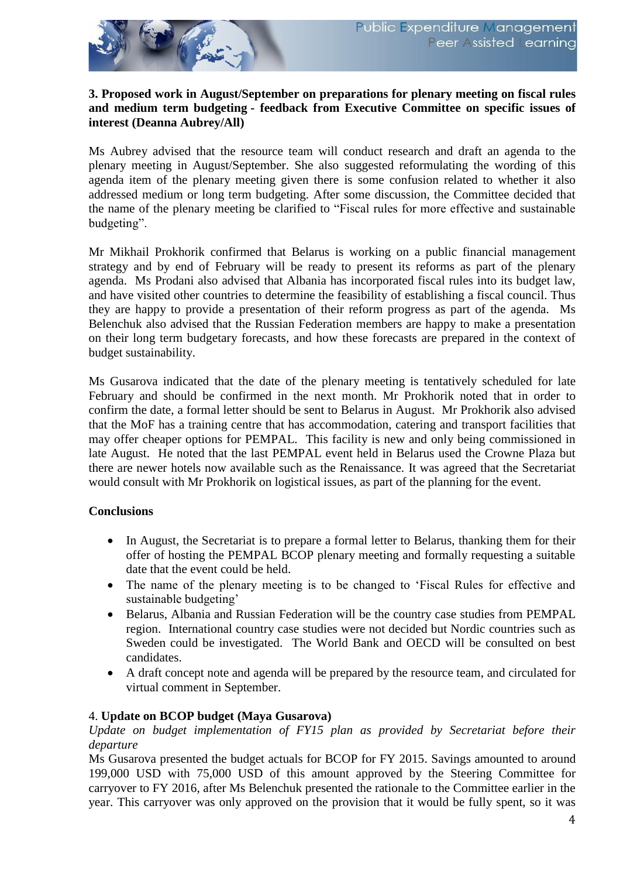

#### **3. Proposed work in August/September on preparations for plenary meeting on fiscal rules and medium term budgeting - feedback from Executive Committee on specific issues of interest (Deanna Aubrey/All)**

Ms Aubrey advised that the resource team will conduct research and draft an agenda to the plenary meeting in August/September. She also suggested reformulating the wording of this agenda item of the plenary meeting given there is some confusion related to whether it also addressed medium or long term budgeting. After some discussion, the Committee decided that the name of the plenary meeting be clarified to "Fiscal rules for more effective and sustainable budgeting".

Mr Mikhail Prokhorik confirmed that Belarus is working on a public financial management strategy and by end of February will be ready to present its reforms as part of the plenary agenda. Ms Prodani also advised that Albania has incorporated fiscal rules into its budget law, and have visited other countries to determine the feasibility of establishing a fiscal council. Thus they are happy to provide a presentation of their reform progress as part of the agenda. Ms Belenchuk also advised that the Russian Federation members are happy to make a presentation on their long term budgetary forecasts, and how these forecasts are prepared in the context of budget sustainability.

Ms Gusarova indicated that the date of the plenary meeting is tentatively scheduled for late February and should be confirmed in the next month. Mr Prokhorik noted that in order to confirm the date, a formal letter should be sent to Belarus in August. Mr Prokhorik also advised that the MoF has a training centre that has accommodation, catering and transport facilities that may offer cheaper options for PEMPAL. This facility is new and only being commissioned in late August. He noted that the last PEMPAL event held in Belarus used the Crowne Plaza but there are newer hotels now available such as the Renaissance. It was agreed that the Secretariat would consult with Mr Prokhorik on logistical issues, as part of the planning for the event.

## **Conclusions**

- In August, the Secretariat is to prepare a formal letter to Belarus, thanking them for their offer of hosting the PEMPAL BCOP plenary meeting and formally requesting a suitable date that the event could be held.
- The name of the plenary meeting is to be changed to 'Fiscal Rules for effective and sustainable budgeting'
- Belarus, Albania and Russian Federation will be the country case studies from PEMPAL region. International country case studies were not decided but Nordic countries such as Sweden could be investigated. The World Bank and OECD will be consulted on best candidates.
- A draft concept note and agenda will be prepared by the resource team, and circulated for virtual comment in September.

#### 4. **Update on BCOP budget (Maya Gusarova)**

*Update on budget implementation of FY15 plan as provided by Secretariat before their departure*

Ms Gusarova presented the budget actuals for BCOP for FY 2015. Savings amounted to around 199,000 USD with 75,000 USD of this amount approved by the Steering Committee for carryover to FY 2016, after Ms Belenchuk presented the rationale to the Committee earlier in the year. This carryover was only approved on the provision that it would be fully spent, so it was